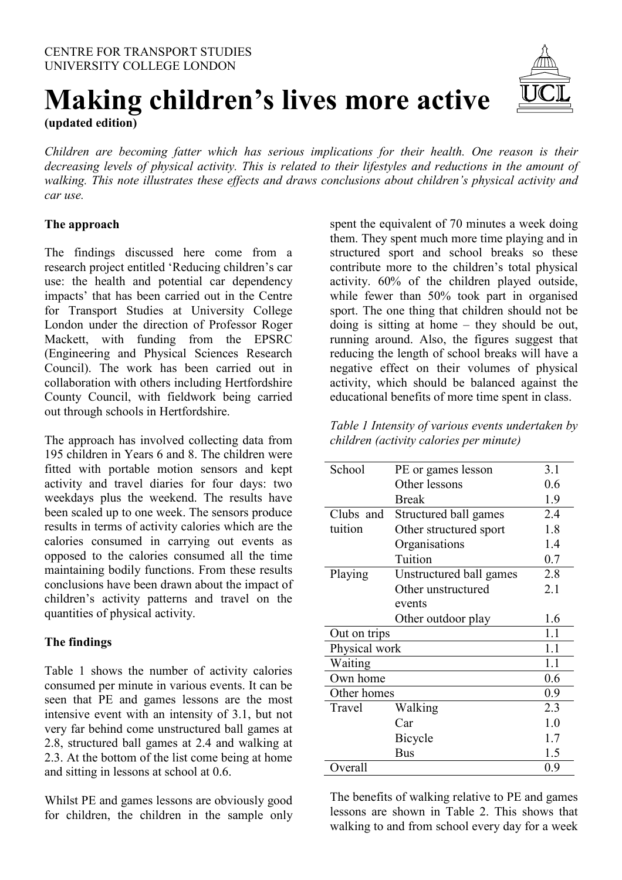

# **Making children's lives more active (updated edition)**

*Children are becoming fatter which has serious implications for their health. One reason is their decreasing levels of physical activity. This is related to their lifestyles and reductions in the amount of walking. This note illustrates these effects and draws conclusions about children's physical activity and car use.* 

# **The approach**

The findings discussed here come from a research project entitled 'Reducing children's car use: the health and potential car dependency impacts' that has been carried out in the Centre for Transport Studies at University College London under the direction of Professor Roger Mackett, with funding from the EPSRC (Engineering and Physical Sciences Research Council). The work has been carried out in collaboration with others including Hertfordshire County Council, with fieldwork being carried out through schools in Hertfordshire.

The approach has involved collecting data from 195 children in Years 6 and 8. The children were fitted with portable motion sensors and kept activity and travel diaries for four days: two weekdays plus the weekend. The results have been scaled up to one week. The sensors produce results in terms of activity calories which are the calories consumed in carrying out events as opposed to the calories consumed all the time maintaining bodily functions. From these results conclusions have been drawn about the impact of children's activity patterns and travel on the quantities of physical activity.

### **The findings**

Table 1 shows the number of activity calories consumed per minute in various events. It can be seen that PE and games lessons are the most intensive event with an intensity of 3.1, but not very far behind come unstructured ball games at 2.8, structured ball games at 2.4 and walking at 2.3. At the bottom of the list come being at home and sitting in lessons at school at 0.6.

Whilst PE and games lessons are obviously good for children, the children in the sample only spent the equivalent of 70 minutes a week doing them. They spent much more time playing and in structured sport and school breaks so these contribute more to the children's total physical activity. 60% of the children played outside, while fewer than 50% took part in organised sport. The one thing that children should not be doing is sitting at home – they should be out, running around. Also, the figures suggest that reducing the length of school breaks will have a negative effect on their volumes of physical activity, which should be balanced against the educational benefits of more time spent in class.

*Table 1 Intensity of various events undertaken by children (activity calories per minute)* 

| School        | PE or games lesson      | 3.1 |
|---------------|-------------------------|-----|
|               | Other lessons           | 0.6 |
|               | <b>Break</b>            | 1.9 |
| Clubs and     | Structured ball games   | 2.4 |
| tuition       | Other structured sport  | 1.8 |
|               | Organisations           | 1.4 |
|               | Tuition                 | 0.7 |
| Playing       | Unstructured ball games | 2.8 |
|               | Other unstructured      | 2.1 |
|               | events                  |     |
|               | Other outdoor play      | 1.6 |
| Out on trips  | 1.1                     |     |
| Physical work | 1.1                     |     |
| Waiting       |                         | 1.1 |
| Own home      |                         | 0.6 |
| Other homes   |                         | 0.9 |
| Travel        | Walking                 | 2.3 |
|               | Car                     | 1.0 |
|               | Bicycle                 | 1.7 |
|               | <b>Bus</b>              | 1.5 |
| Overall       |                         | 0.9 |

The benefits of walking relative to PE and games lessons are shown in Table 2. This shows that walking to and from school every day for a week